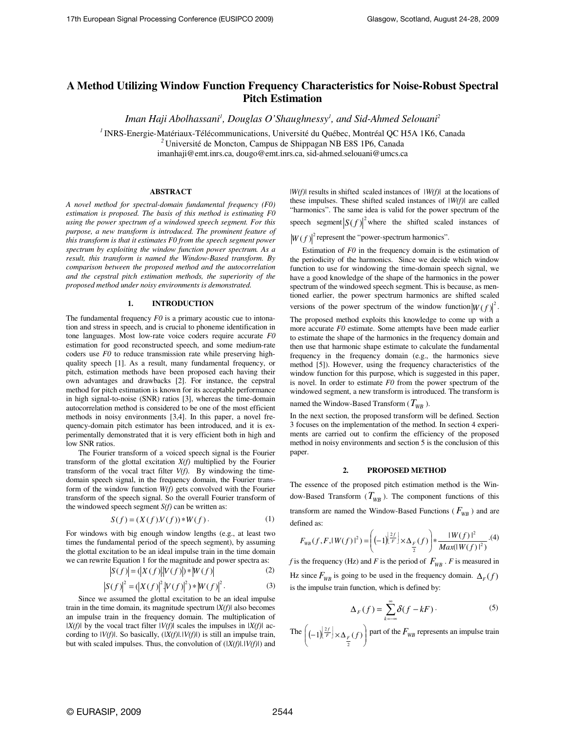# **A Method Utilizing Window Function Frequency Characteristics for Noise-Robust Spectral Pitch Estimation**

*Iman Haji Abolhassani<sup>1</sup> , Douglas O'Shaughnessy<sup>1</sup> , and Sid-Ahmed Selouani<sup>2</sup>*

*<sup>1</sup>*INRS-Energie-Matériaux-Télécommunications, Université du Québec, Montréal QC H5A 1K6, Canada *<sup>2</sup>*Université de Moncton, Campus de Shippagan NB E8S 1P6, Canada imanhaji@emt.inrs.ca, dougo@emt.inrs.ca, sid-ahmed.selouani@umcs.ca

# **ABSTRACT**

*A novel method for spectral-domain fundamental frequency (F0) estimation is proposed. The basis of this method is estimating F0 using the power spectrum of a windowed speech segment. For this purpose, a new transform is introduced. The prominent feature of this transform is that it estimates F0 from the speech segment power spectrum by exploiting the window function power spectrum. As a result, this transform is named the Window-Based transform. By comparison between the proposed method and the autocorrelation and the cepstral pitch estimation methods, the superiority of the proposed method under noisy environments is demonstrated.* 

# **1. INTRODUCTION**

The fundamental frequency *F0* is a primary acoustic cue to intonation and stress in speech, and is crucial to phoneme identification in tone languages. Most low-rate voice coders require accurate *F0* estimation for good reconstructed speech, and some medium-rate coders use *F0* to reduce transmission rate while preserving highquality speech [1]. As a result, many fundamental frequency, or pitch, estimation methods have been proposed each having their own advantages and drawbacks [2]. For instance, the cepstral method for pitch estimation is known for its acceptable performance in high signal-to-noise (SNR) ratios [3], whereas the time-domain autocorrelation method is considered to be one of the most efficient methods in noisy environments [3,4]. In this paper, a novel frequency-domain pitch estimator has been introduced, and it is experimentally demonstrated that it is very efficient both in high and low SNR ratios.

 The Fourier transform of a voiced speech signal is the Fourier transform of the glottal excitation *X(f)* multiplied by the Fourier transform of the vocal tract filter *V(f)*. By windowing the timedomain speech signal, in the frequency domain, the Fourier transform of the window function *W(f)* gets convolved with the Fourier transform of the speech signal. So the overall Fourier transform of the windowed speech segment *S(f)* can be written as:

$$
S(f) = (X(f) \cdot V(f)) * W(f). \tag{1}
$$

For windows with big enough window lengths (e.g., at least two times the fundamental period of the speech segment), by assuming the glottal excitation to be an ideal impulse train in the time domain we can rewrite Equation 1 for the magnitude and power spectra as:

$$
|S(f)| = (|X(f)| |V(f)|) * |W(f)|
$$
 (2)

$$
|S(f)|^{2} = (|X(f)|^{2} |V(f)|^{2}) * |W(f)|^{2}.
$$
 (3)

Since we assumed the glottal excitation to be an ideal impulse train in the time domain, its magnitude spectrum *|X(f)|* also becomes an impulse train in the frequency domain. The multiplication of *|X(f)|* by the vocal tract filter *|V(f)*| scales the impulses in *|X(f)|* according to *|V(f)|*. So basically, (*|X(f)|.|V(f)|*) is still an impulse train, but with scaled impulses. Thus, the convolution of (*|X(f)|.|V(f)|*) and |*W(f)|* results in shifted scaled instances of *|W(f)|* at the locations of these impulses. These shifted scaled instances of *|W(f)|* are called "harmonics". The same idea is valid for the power spectrum of the speech segment  $|S(f)|^2$  where the shifted scaled instances of

 $\left|W(f)\right|^2$  represent the "power-spectrum harmonics".

Estimation of *F0* in the frequency domain is the estimation of the periodicity of the harmonics. Since we decide which window function to use for windowing the time-domain speech signal, we have a good knowledge of the shape of the harmonics in the power spectrum of the windowed speech segment. This is because, as mentioned earlier, the power spectrum harmonics are shifted scaled versions of the power spectrum of the window function  $|W(f)|^2$ .

The proposed method exploits this knowledge to come up with a more accurate *F0* estimate. Some attempts have been made earlier to estimate the shape of the harmonics in the frequency domain and then use that harmonic shape estimate to calculate the fundamental frequency in the frequency domain (e.g., the harmonics sieve method [5]). However, using the frequency characteristics of the window function for this purpose, which is suggested in this paper, is novel. In order to estimate *F0* from the power spectrum of the windowed segment, a new transform is introduced. The transform is named the Window-Based Transform  $(T_{WR}$ ).

In the next section, the proposed transform will be defined. Section 3 focuses on the implementation of the method. In section 4 experiments are carried out to confirm the efficiency of the proposed method in noisy environments and section 5 is the conclusion of this paper.

#### **2. PROPOSED METHOD**

The essence of the proposed pitch estimation method is the Window-Based Transform  $(T_{WB})$ . The component functions of this transform are named the Window-Based Functions ( $F_{WR}$ ) and are defined as:

$$
F_{WB}(f, F, |W(f)|^2) = \left( (-1)^{\frac{2f}{F}} \times \Delta_{\frac{F}{2}}(f) \right) * \frac{|W(f)|^2}{Max(|W(f)|^2)} . (4)
$$

*f* is the frequency (Hz) and *F* is the period of  $F_{WB}$  . *F* is measured in Hz since  $F_{WB}$  is going to be used in the frequency domain.  $\Delta_F(f)$ is the impulse train function, which is defined by:

$$
\Delta_F(f) = \sum_{k=-\infty}^{\infty} \delta(f - kF) \,. \tag{5}
$$

The  $\left| (-1)^{\frac{2f}{F}} \right| \times \Delta_F(f)$ J ℩  $\overline{\phantom{a}}$ ∖  $\left| \left( -1 \right)^{\left\lfloor \frac{2f}{F} \right\rfloor} \times \Delta_{F} (f) \right|$ 2  $\left[\frac{2f}{F}\right] \times \Delta_F(f)$  part of the  $F_{WB}$  represents an impulse train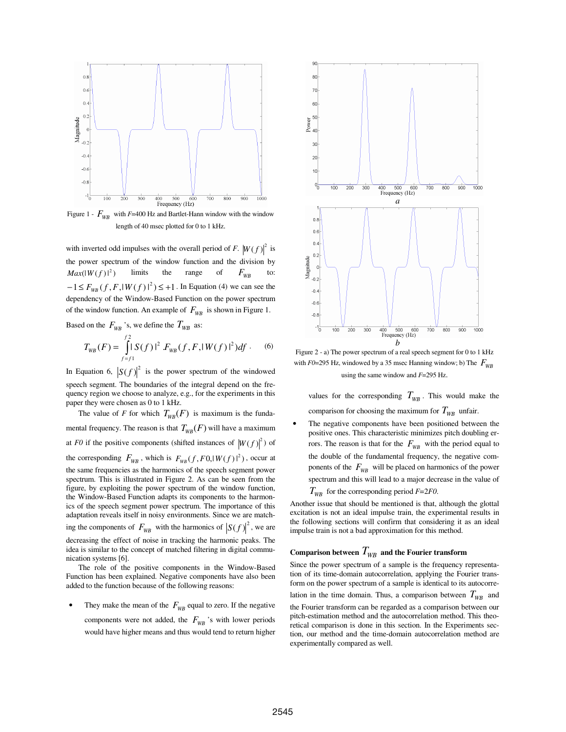

Figure 1 -  $F_{WR}$  with  $F=400$  Hz and Bartlet-Hann window with the window length of 40 msec plotted for 0 to 1 kHz.

with inverted odd impulses with the overall period of *F*.  $|W(f)|^2$  is the power spectrum of the window function and the division by  $Max(|W(f)|^2)$  limits the range of  $F_{WB}$  to:  $-1 \le F_{WB}(f, F, |W(f)|^2) \le +1$ . In Equation (4) we can see the dependency of the Window-Based Function on the power spectrum of the window function. An example of  $F_{WB}$  is shown in Figure 1.

Based on the  $F_{WR}$  's, we define the  $T_{WB}$  as:

$$
T_{WB}(F) = \int_{f=f_1}^{f_2} |S(f)|^2 F_{WB}(f, F, |W(f)|^2) df . \quad (6)
$$

In Equation 6,  $|S(f)|^2$  is the power spectrum of the windowed speech segment. The boundaries of the integral depend on the frequency region we choose to analyze, e.g., for the experiments in this paper they were chosen as 0 to 1 kHz.

The value of *F* for which  $T_{WB}(F)$  is maximum is the fundamental frequency. The reason is that  $T_{WR}(F)$  will have a maximum at *F0* if the positive components (shifted instances of  $|W(f)|^2$ ) of the corresponding  $F_{WB}$ , which is  $F_{WB}(f, F0, |W(f)|^2)$ , occur at the same frequencies as the harmonics of the speech segment power spectrum. This is illustrated in Figure 2. As can be seen from the figure, by exploiting the power spectrum of the window function, the Window-Based Function adapts its components to the harmonics of the speech segment power spectrum. The importance of this adaptation reveals itself in noisy environments. Since we are matching the components of  $F_{WB}$  with the harmonics of  $|S(f)|^2$ , we are decreasing the effect of noise in tracking the harmonic peaks. The idea is similar to the concept of matched filtering in digital communication systems [6].

 The role of the positive components in the Window-Based Function has been explained. Negative components have also been added to the function because of the following reasons:

They make the mean of the  $F_{WR}$  equal to zero. If the negative components were not added, the  $F_{WB}$ 's with lower periods would have higher means and thus would tend to return higher



Figure 2 - a) The power spectrum of a real speech segment for 0 to 1 kHz with  $F0=295$  Hz, windowed by a 35 msec Hanning window; b) The  $F_{WR}$ using the same window and *F*=295 Hz.

values for the corresponding  $T_{WB}$ . This would make the comparison for choosing the maximum for  $T_{WB}$  unfair.

The negative components have been positioned between the positive ones. This characteristic minimizes pitch doubling errors. The reason is that for the  $F_{WB}$  with the period equal to the double of the fundamental frequency, the negative components of the  $F_{WB}$  will be placed on harmonics of the power spectrum and this will lead to a major decrease in the value of  $T_{WB}$  for the corresponding period  $F=2F0$ .

Another issue that should be mentioned is that, although the glottal excitation is not an ideal impulse train, the experimental results in the following sections will confirm that considering it as an ideal impulse train is not a bad approximation for this method.

# Comparison between  $T_{\scriptscriptstyle WB}$  and the Fourier transform

Since the power spectrum of a sample is the frequency representation of its time-domain autocorrelation, applying the Fourier transform on the power spectrum of a sample is identical to its autocorre-

lation in the time domain. Thus, a comparison between  $T_{WR}$  and

the Fourier transform can be regarded as a comparison between our pitch-estimation method and the autocorrelation method. This theoretical comparison is done in this section. In the Experiments section, our method and the time-domain autocorrelation method are experimentally compared as well.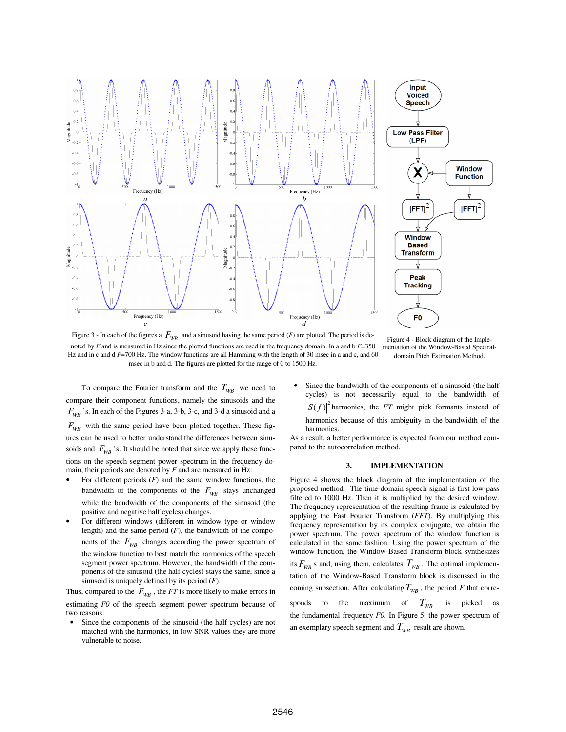

Figure 3 - In each of the figures a  $F_{WB}$  and a sinusoid having the same period (*F*) are plotted. The period is denoted by *F* and is measured in Hz since the plotted functions are used in the frequency domain. In a and b *F*=350 Hz and in c and d *F*=700 Hz. The window functions are all Hamming with the length of 30 msec in a and c, and 60 msec in b and d. The figures are plotted for the range of 0 to 1500 Hz*.* 

Figure 4 - Block diagram of the Implementation of the Window-Based Spectraldomain Pitch Estimation Method*.* 

To compare the Fourier transform and the  $T_{WB}$  we need to compare their component functions, namely the sinusoids and the  $F_{WB}$  's. In each of the Figures 3-a, 3-b, 3-c, and 3-d a sinusoid and a  $F_{WR}$  with the same period have been plotted together. These figures can be used to better understand the differences between sinusoids and  $F_{WB}$  's. It should be noted that since we apply these functions on the speech segment power spectrum in the frequency domain, their periods are denoted by *F* and are measured in Hz:

- For different periods  $(F)$  and the same window functions, the bandwidth of the components of the  $F_{WB}$  stays unchanged while the bandwidth of the components of the sinusoid (the positive and negative half cycles) changes.
- For different windows (different in window type or window length) and the same period (*F*), the bandwidth of the components of the  $F_{WB}$  changes according the power spectrum of the window function to best match the harmonics of the speech segment power spectrum. However, the bandwidth of the components of the sinusoid (the half cycles) stays the same, since a sinusoid is uniquely defined by its period (*F*).

Thus, compared to the  $F_{WB}$ , the *FT* is more likely to make errors in estimating *F0* of the speech segment power spectrum because of two reasons:

Since the components of the sinusoid (the half cycles) are not matched with the harmonics, in low SNR values they are more vulnerable to noise.

Since the bandwidth of the components of a sinusoid (the half cycles) is not necessarily equal to the bandwidth of  $S(f)$ <sup>2</sup> harmonics, the *FT* might pick formants instead of harmonics because of this ambiguity in the bandwidth of the harmonics.

As a result, a better performance is expected from our method compared to the autocorrelation method.

#### **3. IMPLEMENTATION**

Figure 4 shows the block diagram of the implementation of the proposed method. The time-domain speech signal is first low-pass filtered to 1000 Hz. Then it is multiplied by the desired window. The frequency representation of the resulting frame is calculated by applying the Fast Fourier Transform (*FFT*). By multiplying this frequency representation by its complex conjugate, we obtain the power spectrum. The power spectrum of the window function is calculated in the same fashion. Using the power spectrum of the window function, the Window-Based Transform block synthesizes its  $F_{WB}$  s and, using them, calculates  $T_{WB}$ . The optimal implementation of the Window-Based Transform block is discussed in the coming subsection. After calculating  $T_{WB}$ , the period *F* that corresponds to the maximum of  $T_{WB}$  is picked as

the fundamental frequency *F0*. In Figure 5, the power spectrum of an exemplary speech segment and  $T_{WB}$  result are shown.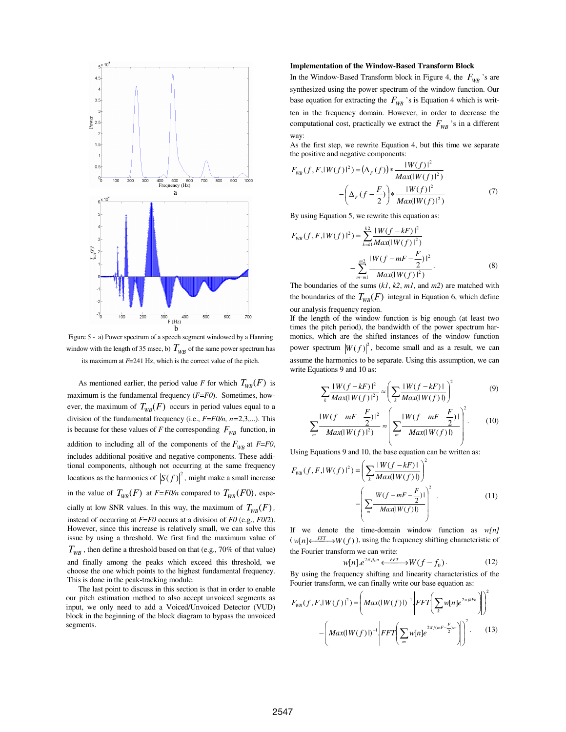

Figure 5 - a) Power spectrum of a speech segment windowed by a Hanning window with the length of 35 msec, b)  $T_{WB}$  of the same power spectrum has its maximum at *F*=241 Hz, which is the correct value of the pitch.

As mentioned earlier, the period value *F* for which  $T_{WR}(F)$  is maximum is the fundamental frequency (*F*=*F0*). Sometimes, however, the maximum of  $T_{WR}(F)$  occurs in period values equal to a division of the fundamental frequency (i.e., *F*=*F0/n, n=*2,3,...). This is because for these values of *F* the corresponding  $F_{WB}$  function, in addition to including all of the components of the  $F_{WR}$  at  $F = F0$ , includes additional positive and negative components. These additional components, although not occurring at the same frequency locations as the harmonics of  $|S(f)|^2$ , might make a small increase in the value of  $T_{WB}(F)$  at  $F = F0/n$  compared to  $T_{WB}(F0)$ , especially at low SNR values. In this way, the maximum of  $T_{WB}(F)$ , instead of occurring at *F*=*F0* occurs at a division of *F0* (e.g., *F0*/2). However, since this increase is relatively small, we can solve this issue by using a threshold. We first find the maximum value of  $T_{WB}$ , then define a threshold based on that (e.g., 70% of that value) and finally among the peaks which exceed this threshold, we choose the one which points to the highest fundamental frequency. This is done in the peak-tracking module.

 The last point to discuss in this section is that in order to enable our pitch estimation method to also accept unvoiced segments as input, we only need to add a Voiced/Unvoiced Detector (VUD) block in the beginning of the block diagram to bypass the unvoiced segments.

#### **Implementation of the Window-Based Transform Block**

In the Window-Based Transform block in Figure 4, the  $F_{WR}$  's are synthesized using the power spectrum of the window function. Our base equation for extracting the  $F_{WB}$  's is Equation 4 which is written in the frequency domain. However, in order to decrease the computational cost, practically we extract the  $F_{WR}$  's in a different way:

As the first step, we rewrite Equation 4, but this time we separate the positive and negative components:

$$
F_{WB}(f, F, |W(f)|^2) = (\Delta_F(f)) * \frac{|W(f)|^2}{Max(|W(f)|^2)} - (\Delta_F(f - \frac{F}{2})) * \frac{|W(f)|^2}{Max(|W(f)|^2)}
$$
(7)

By using Equation 5, we rewrite this equation as:

$$
F_{WB}(f, F, |W(f)|^{2}) = \sum_{k=k1}^{k2} \frac{|W(f - kF)|^{2}}{Max(|W(f)|^{2})}
$$

$$
-\sum_{m=m1}^{m2} \frac{|W(f - mF - \frac{F}{2})|^{2}}{Max(|W(f)|^{2})}.
$$
(8)

The boundaries of the sums (*k1*, *k2*, *m1*, and *m2*) are matched with the boundaries of the  $T_{WB}(F)$  integral in Equation 6, which define our analysis frequency region.

If the length of the window function is big enough (at least two times the pitch period), the bandwidth of the power spectrum harmonics, which are the shifted instances of the window function power spectrum  $\left|W(f)\right|^2$ , become small and as a result, we can assume the harmonics to be separate. Using this assumption, we can write Equations 9 and 10 as:

$$
\sum_{k} \frac{|W(f - kF)|^2}{|Max(|W(f)|^2)} \approx \left(\sum_{k} \frac{|W(f - kF)|}{|Max(|W(f)|)}\right)^2\tag{9}
$$

$$
\sum_{m} \frac{|W(f - mF - \frac{F}{2})|^2}{|Max(|W(f)|^2)} \approx \left( \sum_{m} \frac{|W(f - mF - \frac{F}{2})|}{|Max(|W(f)|)} \right)^2.
$$
 (10)

Using Equations 9 and 10, the base equation can be written as:

$$
F_{WB}(f, F, |W(f)|^{2}) = \left(\sum_{k} \frac{|W(f - kF)|}{Max(|W(f)|)}\right)^{2}
$$

$$
-\left(\sum_{m} \frac{|W(f - mF - \frac{F}{2})|}{Max(|W(f)|)}\right)^{2}.
$$
(11)

If we denote the time-domain window function as *w[n]*  $(w[n] \leftarrow \longrightarrow W(f)$ , using the frequency shifting characteristic of the Fourier transform we can write:

$$
w[n] \cdot e^{2\pi j f_0 n} \xleftarrow{FFT} W(f - f_0). \tag{12}
$$

By using the frequency shifting and linearity characteristics of the Fourier transform, we can finally write our base equation as:

$$
F_{WB}(f, F, |W(f)|^{2}) = \left( Max(|W(f)|)^{-1} \left| FFT \left( \sum_{k} w[n] e^{2\pi j k F n} \right) \right|^{2} - \left( Max(|W(f)|)^{-1} \left| FFT \left( \sum_{m} w[n] e^{2\pi j (mF - \frac{F}{2})n} \right) \right|^{2} \right). \tag{13}
$$